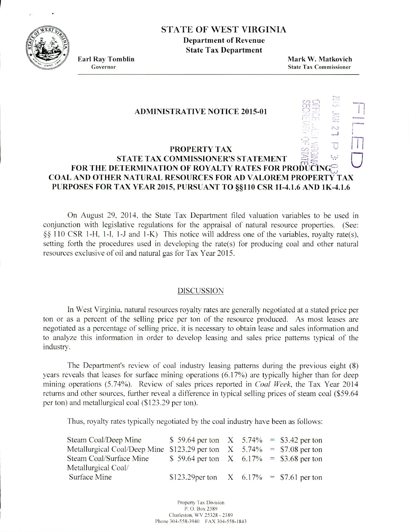STATE OF WEST VIRGINIA

**Department of Revenue State Tax Department**

**Earl Ray Tomblin Mark W. Matkovich** Governor State Tax **Commissioner**

## **ADMINISTRATIVE NOTICE 2015-01**

## **PROPERTY TAX FOR THE DETERMINATION OF ROYALTY RATES FOR PRODUCING COAL AND OTHER NATURAL RESOURCES FOR AD VALOREM PROPERTY TAX PURPOSES FOR TAX YEAR 2015, PURSUANT TO §§110 CSR 1I-4.1.6 AND 1K-4.1.6**

On August 29. 2014. the State Tax Department filed valuation variables to be used in conjunction with legislative regulations for the appraisal of natural resource properties. (See:  $\S$  110 CSR 1-H, 1-I, 1-J and 1-K) This notice will address one of the variables, royalty rate(s), setting forth the procedures used in developing the rate(s) for producing coal and other natural resources exclusive of oil and natural gas for Tax Year 2015.

## DISCUSSION

In West Virginia. natural resources royalty rates are generally negotiated at a stated price per ton or as a percent of the selling price per ton of the resource produced. As most leases are negotiated as a percentage of selling price, it is necessary to obtain lease and sales information and to analyze this information in order to develop leasing and sales price patterns typical of the industry.

The Department's review of coal industry leasing patterns during the previous eight (8) years reveals that leases for surface mining operations (6.17%) are typically higher than for deep mining operations (5.74%). Review of sales prices reported in *Coal Week,* the Tax Year 2014 returns and other sources, further reveal a difference in typical selling prices of steam coal (\$59.64 per ton) and metallurgical coal (\$123.29 per ton).

Thus, royalty rates typically negotiated by the coal industry have been as follows:

| Steam Coal/Deep Mine                                                     | \$ 59.64 per ton $X$ 5.74% = \$3.42 per ton    |  |  |
|--------------------------------------------------------------------------|------------------------------------------------|--|--|
| Metallurgical Coal/Deep Mine \$123.29 per ton $X$ 5.74% = \$7.08 per ton |                                                |  |  |
| Steam Coal/Surface Mine                                                  | \$ 59.64 per ton $X = 6.17\% = 3.68$ per ton   |  |  |
| Metallurgical Coal/                                                      |                                                |  |  |
| Surface Mine                                                             | \$123.29 per ton $X = 6.17\% = 157.61$ per ton |  |  |

Property Tax Division P. 0. Box 2389 Charleston, WV 25328 - 2389 Phone 304-558-3940 FAX 304-558-1843